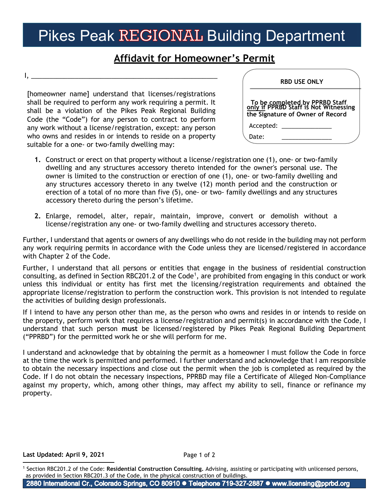## Pikes Peak REGIONAL Building Department

## **Affidavit for Homeowner's Permit**

I, \_\_\_\_\_\_\_\_\_\_\_\_\_\_\_\_\_\_\_\_\_\_\_\_\_\_\_\_\_\_\_\_\_\_\_\_\_\_\_\_\_\_\_\_\_\_\_\_\_\_\_

[homeowner name] understand that licenses/registrations shall be required to perform any work requiring a permit. It shall be a violation of the Pikes Peak Regional Building Code (the "Code") for any person to contract to perform any work without a license/registration, except: any person who owns and resides in or intends to reside on a property suitable for a one- or two-family dwelling may:

| <b>RBD USE ONLY</b>                                                                                         |  |
|-------------------------------------------------------------------------------------------------------------|--|
| To be completed by PPRBD Staff<br>only if PPRBD Staff is Not Witnessing<br>the Signature of Owner of Record |  |
| Accepted:                                                                                                   |  |
| Date:                                                                                                       |  |

- **1.** Construct or erect on that property without a license/registration one (1), one- or two-family dwelling and any structures accessory thereto intended for the owner's personal use. The owner is limited to the construction or erection of one (1), one- or two-family dwelling and any structures accessory thereto in any twelve (12) month period and the construction or erection of a total of no more than five (5), one- or two- family dwellings and any structures accessory thereto during the person's lifetime.
- **2.** Enlarge, remodel, alter, repair, maintain, improve, convert or demolish without a license/registration any one- or two-family dwelling and structures accessory thereto.

Further, I understand that agents or owners of any dwellings who do not reside in the building may not perform any work requiring permits in accordance with the Code unless they are licensed/registered in accordance with Chapter 2 of the Code.

Further, I understand that all persons or entities that engage in the business of residential construction consulting, as defined in Section RBC20[1](#page-0-0).2 of the Code<sup>1</sup>, are prohibited from engaging in this conduct or work unless this individual or entity has first met the licensing/registration requirements and obtained the appropriate license/registration to perform the construction work. This provision is not intended to regulate the activities of building design professionals.

If I intend to have any person other than me, as the person who owns and resides in or intends to reside on the property, perform work that requires a license/registration and permit(s) in accordance with the Code, I understand that such person **must** be licensed/registered by Pikes Peak Regional Building Department ("PPRBD") for the permitted work he or she will perform for me.

I understand and acknowledge that by obtaining the permit as a homeowner I must follow the Code in force at the time the work is permitted and performed. I further understand and acknowledge that I am responsible to obtain the necessary inspections and close out the permit when the job is completed as required by the Code. If I do not obtain the necessary inspections, PPRBD may file a Certificate of Alleged Non-Compliance against my property, which, among other things, may affect my ability to sell, finance or refinance my property.

## **Last Updated: May 17, 2021**

2880 International Cr., Colorado Springs, CO 80910 · Telephone 719-327-2887 · www.licensing@pprbd.org

<span id="page-0-0"></span><sup>1</sup> Section RBC201.2 of the Code: **Residential Construction Consulting.** Advising, assisting or participating with unlicensed persons, as provided in Section RBC201.3 of the Code, in the physical construction of buildings.